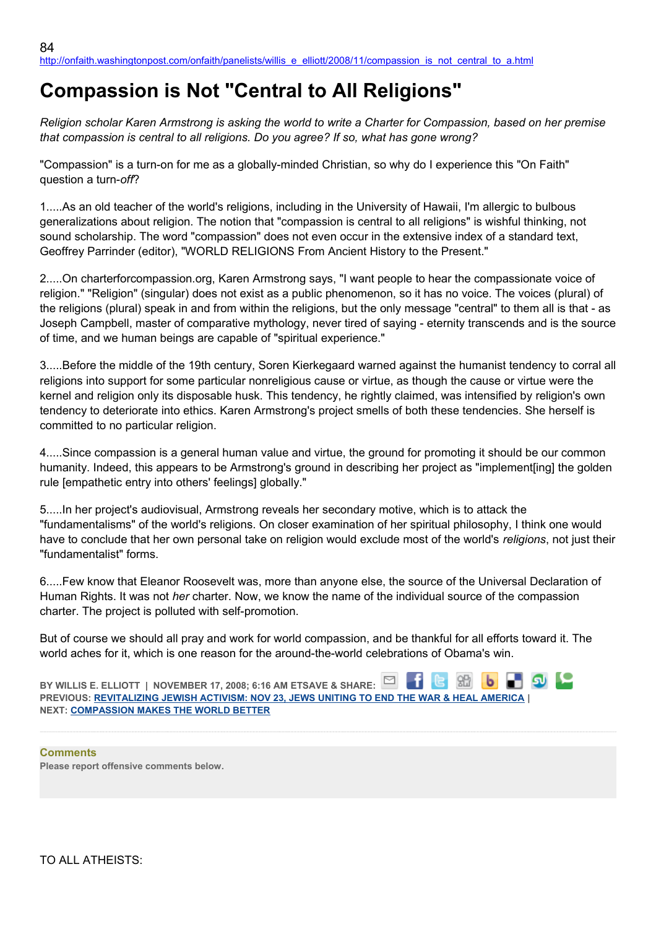# **Compassion is Not "Central to All Religions"**

*Religion scholar Karen Armstrong is asking the world to write a Charter for Compassion, based on her premise that compassion is central to all religions. Do you agree? If so, what has gone wrong?*

"Compassion" is a turn-on for me as a globally-minded Christian, so why do I experience this "On Faith" question a turn-*off*?

1.....As an old teacher of the world's religions, including in the University of Hawaii, I'm allergic to bulbous generalizations about religion. The notion that "compassion is central to all religions" is wishful thinking, not sound scholarship. The word "compassion" does not even occur in the extensive index of a standard text, Geoffrey Parrinder (editor), "WORLD RELIGIONS From Ancient History to the Present."

2.....On charterforcompassion.org, Karen Armstrong says, "I want people to hear the compassionate voice of religion." "Religion" (singular) does not exist as a public phenomenon, so it has no voice. The voices (plural) of the religions (plural) speak in and from within the religions, but the only message "central" to them all is that - as Joseph Campbell, master of comparative mythology, never tired of saying - eternity transcends and is the source of time, and we human beings are capable of "spiritual experience."

3.....Before the middle of the 19th century, Soren Kierkegaard warned against the humanist tendency to corral all religions into support for some particular nonreligious cause or virtue, as though the cause or virtue were the kernel and religion only its disposable husk. This tendency, he rightly claimed, was intensified by religion's own tendency to deteriorate into ethics. Karen Armstrong's project smells of both these tendencies. She herself is committed to no particular religion.

4.....Since compassion is a general human value and virtue, the ground for promoting it should be our common humanity. Indeed, this appears to be Armstrong's ground in describing her project as "implement[ing] the golden rule [empathetic entry into others' feelings] globally."

5.....In her project's audiovisual, Armstrong reveals her secondary motive, which is to attack the "fundamentalisms" of the world's religions. On closer examination of her spiritual philosophy, I think one would have to conclude that her own personal take on religion would exclude most of the world's *religions*, not just their "fundamentalist" forms.

6.....Few know that Eleanor Roosevelt was, more than anyone else, the source of the Universal Declaration of Human Rights. It was not *her* charter. Now, we know the name of the individual source of the compassion charter. The project is polluted with self-promotion.

But of course we should all pray and work for world compassion, and be thankful for all efforts toward it. The world aches for it, which is one reason for the around-the-world celebrations of Obama's win.

| BY WILLIS E. ELLIOTT   NOVEMBER 17, 2008; 6:16 AM ETSAVE & SHARE: $\Box$ $\Box$ $\Box$ $\Box$ $\Box$ $\Box$ $\Box$ |  |  |  |  |
|--------------------------------------------------------------------------------------------------------------------|--|--|--|--|
| <b>PREVIOUS: REVITALIZING JEWISH ACTIVISM: NOV 23, JEWS UNITING TO END THE WAR &amp; HEAL AMERICA  </b>            |  |  |  |  |
| <b>NEXT: COMPASSION MAKES THE WORLD BETTER</b>                                                                     |  |  |  |  |

**Comments Please report offensive comments below.**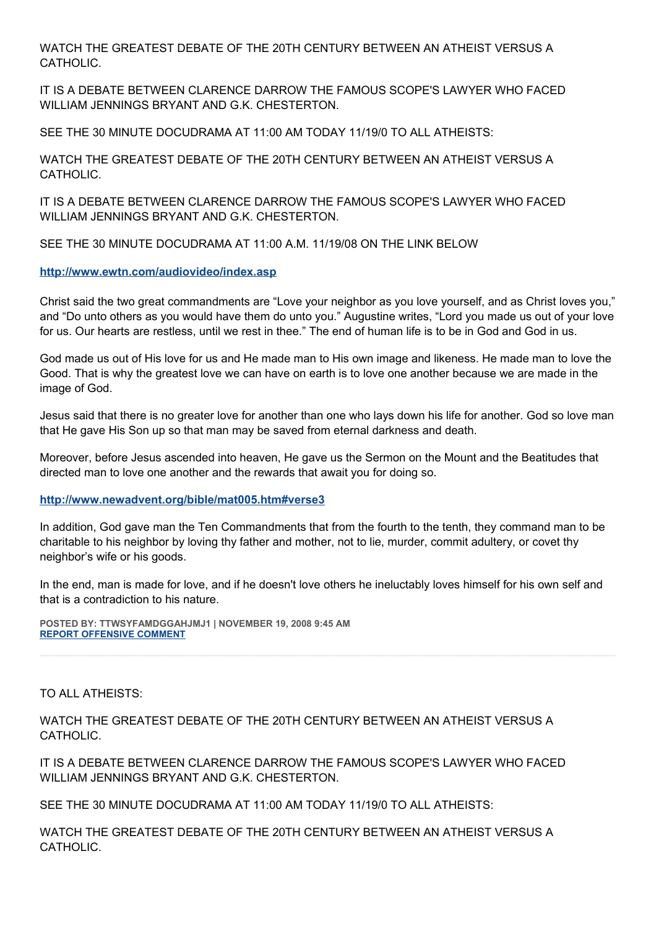WATCH THE GREATEST DEBATE OF THE 20TH CENTURY BETWEEN AN ATHEIST VERSUS A CATHOLIC.

IT IS A DEBATE BETWEEN CLARENCE DARROW THE FAMOUS SCOPE'S LAWYER WHO FACED WILLIAM JENNINGS BRYANT AND G.K. CHESTERTON.

SEE THE 30 MINUTE DOCUDRAMA AT 11:00 AM TODAY 11/19/0 TO ALL ATHEISTS:

WATCH THE GREATEST DEBATE OF THE 20TH CENTURY BETWEEN AN ATHEIST VERSUS A CATHOLIC.

IT IS A DEBATE BETWEEN CLARENCE DARROW THE FAMOUS SCOPE'S LAWYER WHO FACED WILLIAM JENNINGS BRYANT AND G.K. CHESTERTON.

SEE THE 30 MINUTE DOCUDRAMA AT 11:00 A.M. 11/19/08 ON THE LINK BELOW

## **<http://www.ewtn.com/audiovideo/index.asp>**

Christ said the two great commandments are "Love your neighbor as you love yourself, and as Christ loves you," and "Do unto others as you would have them do unto you." Augustine writes, "Lord you made us out of your love for us. Our hearts are restless, until we rest in thee." The end of human life is to be in God and God in us.

God made us out of His love for us and He made man to His own image and likeness. He made man to love the Good. That is why the greatest love we can have on earth is to love one another because we are made in the image of God.

Jesus said that there is no greater love for another than one who lays down his life for another. God so love man that He gave His Son up so that man may be saved from eternal darkness and death.

Moreover, before Jesus ascended into heaven, He gave us the Sermon on the Mount and the Beatitudes that directed man to love one another and the rewards that await you for doing so.

#### **<http://www.newadvent.org/bible/mat005.htm#verse3>**

In addition, God gave man the Ten Commandments that from the fourth to the tenth, they command man to be charitable to his neighbor by loving thy father and mother, not to lie, murder, commit adultery, or covet thy neighbor's wife or his goods.

In the end, man is made for love, and if he doesn't love others he ineluctably loves himself for his own self and that is a contradiction to his nature.

**POSTED BY: TTWSYFAMDGGAHJMJ1 | NOVEMBER 19, 2008 9:45 AM [REPORT OFFENSIVE COMMENT](mailto:blogs@washingtonpost.com?subject=On%20Faith%20Panelists%20Blog%20%20%7C%20%20TTWSYFAMDGGAHJMJ1%20%20%7C%20%20Compassion%20is%20Not)**

TO ALL ATHEISTS:

WATCH THE GREATEST DEBATE OF THE 20TH CENTURY BETWEEN AN ATHEIST VERSUS A CATHOLIC.

IT IS A DEBATE BETWEEN CLARENCE DARROW THE FAMOUS SCOPE'S LAWYER WHO FACED WILLIAM JENNINGS BRYANT AND G.K. CHESTERTON.

SEE THE 30 MINUTE DOCUDRAMA AT 11:00 AM TODAY 11/19/0 TO ALL ATHEISTS:

WATCH THE GREATEST DEBATE OF THE 20TH CENTURY BETWEEN AN ATHEIST VERSUS A CATHOLIC.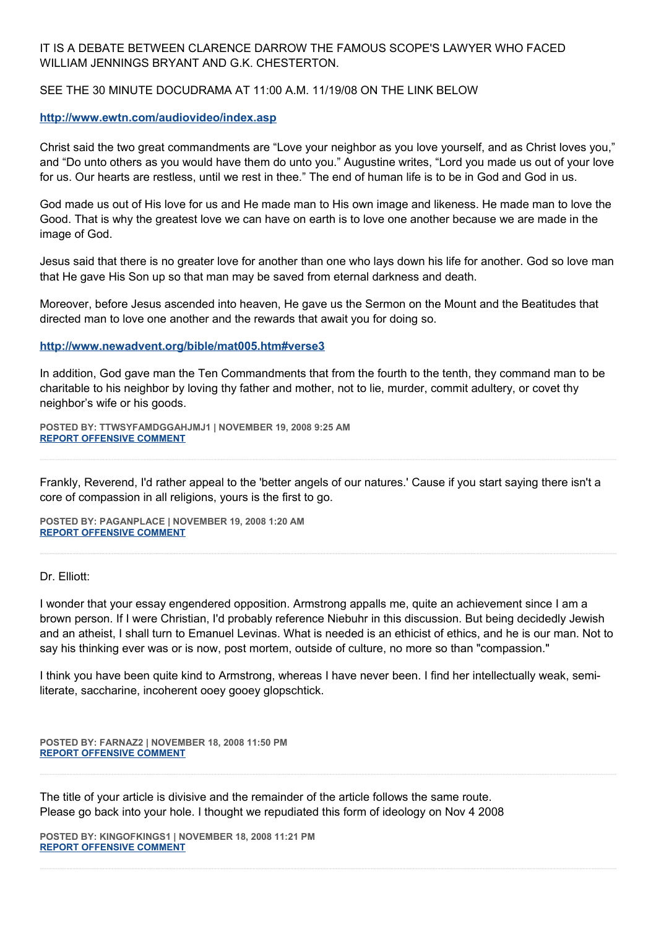## IT IS A DEBATE BETWEEN CLARENCE DARROW THE FAMOUS SCOPE'S LAWYER WHO FACED WILLIAM JENNINGS BRYANT AND G.K. CHESTERTON.

### SEE THE 30 MINUTE DOCUDRAMA AT 11:00 A.M. 11/19/08 ON THE LINK BELOW

#### **<http://www.ewtn.com/audiovideo/index.asp>**

Christ said the two great commandments are "Love your neighbor as you love yourself, and as Christ loves you," and "Do unto others as you would have them do unto you." Augustine writes, "Lord you made us out of your love for us. Our hearts are restless, until we rest in thee." The end of human life is to be in God and God in us.

God made us out of His love for us and He made man to His own image and likeness. He made man to love the Good. That is why the greatest love we can have on earth is to love one another because we are made in the image of God.

Jesus said that there is no greater love for another than one who lays down his life for another. God so love man that He gave His Son up so that man may be saved from eternal darkness and death.

Moreover, before Jesus ascended into heaven, He gave us the Sermon on the Mount and the Beatitudes that directed man to love one another and the rewards that await you for doing so.

#### **<http://www.newadvent.org/bible/mat005.htm#verse3>**

In addition, God gave man the Ten Commandments that from the fourth to the tenth, they command man to be charitable to his neighbor by loving thy father and mother, not to lie, murder, commit adultery, or covet thy neighbor's wife or his goods.

**POSTED BY: TTWSYFAMDGGAHJMJ1 | NOVEMBER 19, 2008 9:25 AM [REPORT OFFENSIVE COMMENT](mailto:blogs@washingtonpost.com?subject=On%20Faith%20Panelists%20Blog%20%20%7C%20%20TTWSYFAMDGGAHJMJ1%20%20%7C%20%20Compassion%20is%20Not)**

Frankly, Reverend, I'd rather appeal to the 'better angels of our natures.' Cause if you start saying there isn't a core of compassion in all religions, yours is the first to go.

**POSTED BY: PAGANPLACE | NOVEMBER 19, 2008 1:20 AM [REPORT OFFENSIVE COMMENT](mailto:blogs@washingtonpost.com?subject=On%20Faith%20Panelists%20Blog%20%20%7C%20%20Paganplace%20%20%7C%20%20Compassion%20is%20Not)**

#### Dr. Elliott:

I wonder that your essay engendered opposition. Armstrong appalls me, quite an achievement since I am a brown person. If I were Christian, I'd probably reference Niebuhr in this discussion. But being decidedly Jewish and an atheist, I shall turn to Emanuel Levinas. What is needed is an ethicist of ethics, and he is our man. Not to say his thinking ever was or is now, post mortem, outside of culture, no more so than "compassion."

I think you have been quite kind to Armstrong, whereas I have never been. I find her intellectually weak, semiliterate, saccharine, incoherent ooey gooey glopschtick.

**POSTED BY: FARNAZ2 | NOVEMBER 18, 2008 11:50 PM [REPORT OFFENSIVE COMMENT](mailto:blogs@washingtonpost.com?subject=On%20Faith%20Panelists%20Blog%20%20%7C%20%20Farnaz2%20%20%7C%20%20Compassion%20is%20Not)**

The title of your article is divisive and the remainder of the article follows the same route. Please go back into your hole. I thought we repudiated this form of ideology on Nov 4 2008

**POSTED BY: KINGOFKINGS1 | NOVEMBER 18, 2008 11:21 PM [REPORT OFFENSIVE COMMENT](mailto:blogs@washingtonpost.com?subject=On%20Faith%20Panelists%20Blog%20%20%7C%20%20Kingofkings1%20%20%7C%20%20Compassion%20is%20Not)**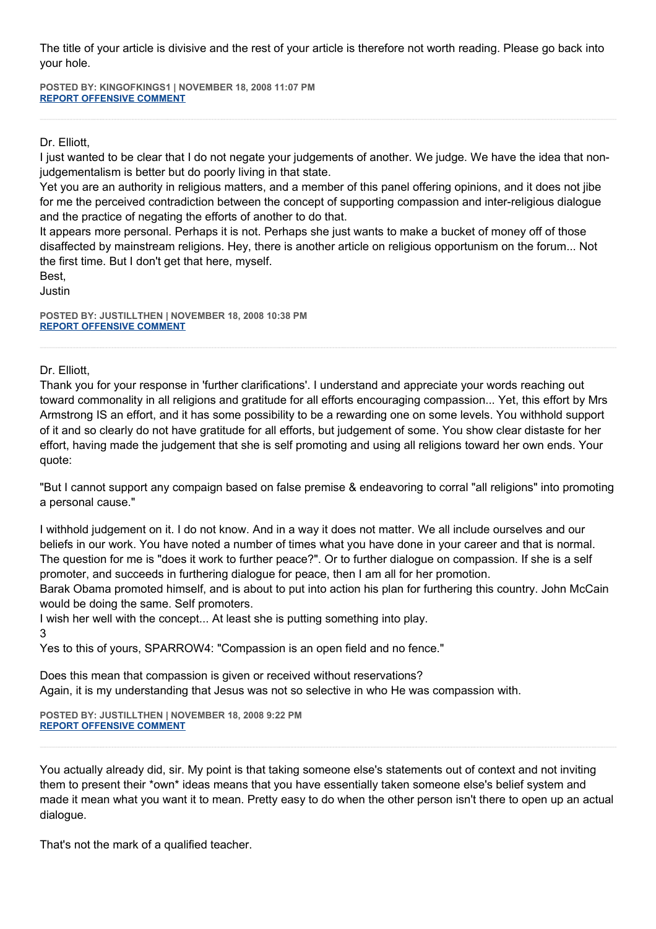The title of your article is divisive and the rest of your article is therefore not worth reading. Please go back into your hole.

**POSTED BY: KINGOFKINGS1 | NOVEMBER 18, 2008 11:07 PM [REPORT OFFENSIVE COMMENT](mailto:blogs@washingtonpost.com?subject=On%20Faith%20Panelists%20Blog%20%20%7C%20%20Kingofkings1%20%20%7C%20%20Compassion%20is%20Not)**

Dr. Elliott,

I just wanted to be clear that I do not negate your judgements of another. We judge. We have the idea that nonjudgementalism is better but do poorly living in that state.

Yet you are an authority in religious matters, and a member of this panel offering opinions, and it does not jibe for me the perceived contradiction between the concept of supporting compassion and inter-religious dialogue and the practice of negating the efforts of another to do that.

It appears more personal. Perhaps it is not. Perhaps she just wants to make a bucket of money off of those disaffected by mainstream religions. Hey, there is another article on religious opportunism on the forum... Not the first time. But I don't get that here, myself.

Best, Justin

**POSTED BY: JUSTILLTHEN | NOVEMBER 18, 2008 10:38 PM [REPORT OFFENSIVE COMMENT](mailto:blogs@washingtonpost.com?subject=On%20Faith%20Panelists%20Blog%20%20%7C%20%20justillthen%20%20%7C%20%20Compassion%20is%20Not)**

Dr. Elliott,

Thank you for your response in 'further clarifications'. I understand and appreciate your words reaching out toward commonality in all religions and gratitude for all efforts encouraging compassion... Yet, this effort by Mrs Armstrong IS an effort, and it has some possibility to be a rewarding one on some levels. You withhold support of it and so clearly do not have gratitude for all efforts, but judgement of some. You show clear distaste for her effort, having made the judgement that she is self promoting and using all religions toward her own ends. Your quote:

"But I cannot support any compaign based on false premise & endeavoring to corral "all religions" into promoting a personal cause."

I withhold judgement on it. I do not know. And in a way it does not matter. We all include ourselves and our beliefs in our work. You have noted a number of times what you have done in your career and that is normal. The question for me is "does it work to further peace?". Or to further dialogue on compassion. If she is a self promoter, and succeeds in furthering dialogue for peace, then I am all for her promotion.

Barak Obama promoted himself, and is about to put into action his plan for furthering this country. John McCain would be doing the same. Self promoters.

I wish her well with the concept... At least she is putting something into play.

3

Yes to this of yours, SPARROW4: "Compassion is an open field and no fence."

Does this mean that compassion is given or received without reservations? Again, it is my understanding that Jesus was not so selective in who He was compassion with.

**POSTED BY: JUSTILLTHEN | NOVEMBER 18, 2008 9:22 PM [REPORT OFFENSIVE COMMENT](mailto:blogs@washingtonpost.com?subject=On%20Faith%20Panelists%20Blog%20%20%7C%20%20justillthen%20%20%7C%20%20Compassion%20is%20Not)**

You actually already did, sir. My point is that taking someone else's statements out of context and not inviting them to present their \*own\* ideas means that you have essentially taken someone else's belief system and made it mean what you want it to mean. Pretty easy to do when the other person isn't there to open up an actual dialogue.

That's not the mark of a qualified teacher.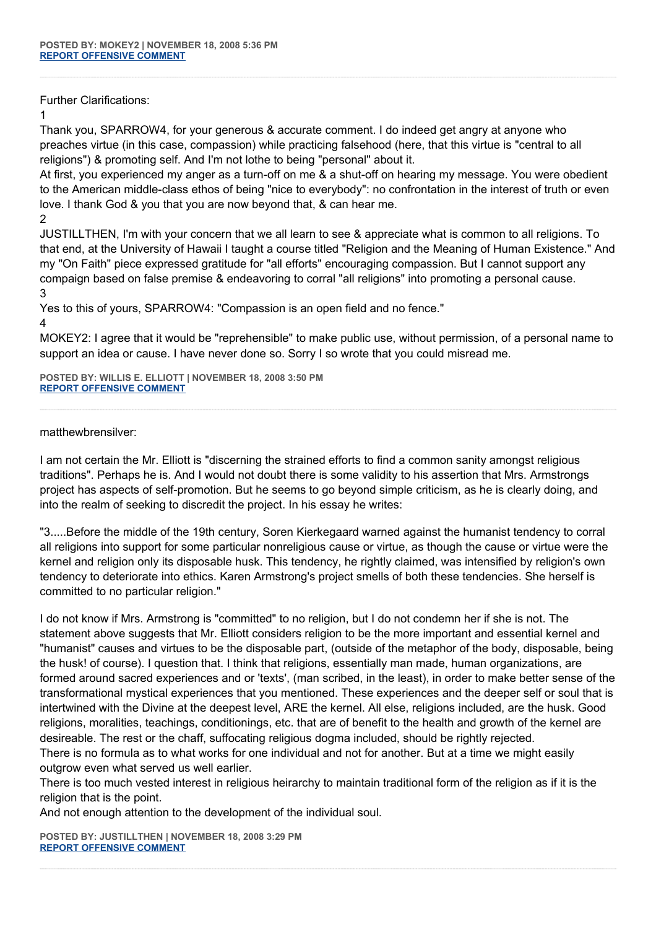Further Clarifications:

1

Thank you, SPARROW4, for your generous & accurate comment. I do indeed get angry at anyone who preaches virtue (in this case, compassion) while practicing falsehood (here, that this virtue is "central to all religions") & promoting self. And I'm not lothe to being "personal" about it.

At first, you experienced my anger as a turn-off on me & a shut-off on hearing my message. You were obedient to the American middle-class ethos of being "nice to everybody": no confrontation in the interest of truth or even love. I thank God & you that you are now beyond that, & can hear me.

2

JUSTILLTHEN, I'm with your concern that we all learn to see & appreciate what is common to all religions. To that end, at the University of Hawaii I taught a course titled "Religion and the Meaning of Human Existence." And my "On Faith" piece expressed gratitude for "all efforts" encouraging compassion. But I cannot support any compaign based on false premise & endeavoring to corral "all religions" into promoting a personal cause. 3

Yes to this of yours, SPARROW4: "Compassion is an open field and no fence."

4

MOKEY2: I agree that it would be "reprehensible" to make public use, without permission, of a personal name to support an idea or cause. I have never done so. Sorry I so wrote that you could misread me.

**POSTED BY: WILLIS E. ELLIOTT | NOVEMBER 18, 2008 3:50 PM [REPORT OFFENSIVE COMMENT](mailto:blogs@washingtonpost.com?subject=On%20Faith%20Panelists%20Blog%20%20%7C%20%20Willis%20E.%20Elliott%20%20%7C%20%20Compassion%20is%20Not)**

matthewbrensilver:

I am not certain the Mr. Elliott is "discerning the strained efforts to find a common sanity amongst religious traditions". Perhaps he is. And I would not doubt there is some validity to his assertion that Mrs. Armstrongs project has aspects of self-promotion. But he seems to go beyond simple criticism, as he is clearly doing, and into the realm of seeking to discredit the project. In his essay he writes:

"3.....Before the middle of the 19th century, Soren Kierkegaard warned against the humanist tendency to corral all religions into support for some particular nonreligious cause or virtue, as though the cause or virtue were the kernel and religion only its disposable husk. This tendency, he rightly claimed, was intensified by religion's own tendency to deteriorate into ethics. Karen Armstrong's project smells of both these tendencies. She herself is committed to no particular religion."

I do not know if Mrs. Armstrong is "committed" to no religion, but I do not condemn her if she is not. The statement above suggests that Mr. Elliott considers religion to be the more important and essential kernel and "humanist" causes and virtues to be the disposable part, (outside of the metaphor of the body, disposable, being the husk! of course). I question that. I think that religions, essentially man made, human organizations, are formed around sacred experiences and or 'texts', (man scribed, in the least), in order to make better sense of the transformational mystical experiences that you mentioned. These experiences and the deeper self or soul that is intertwined with the Divine at the deepest level, ARE the kernel. All else, religions included, are the husk. Good religions, moralities, teachings, conditionings, etc. that are of benefit to the health and growth of the kernel are desireable. The rest or the chaff, suffocating religious dogma included, should be rightly rejected. There is no formula as to what works for one individual and not for another. But at a time we might easily outgrow even what served us well earlier.

There is too much vested interest in religious heirarchy to maintain traditional form of the religion as if it is the religion that is the point.

And not enough attention to the development of the individual soul.

**POSTED BY: JUSTILLTHEN | NOVEMBER 18, 2008 3:29 PM [REPORT OFFENSIVE COMMENT](mailto:blogs@washingtonpost.com?subject=On%20Faith%20Panelists%20Blog%20%20%7C%20%20justillthen%20%20%7C%20%20Compassion%20is%20Not)**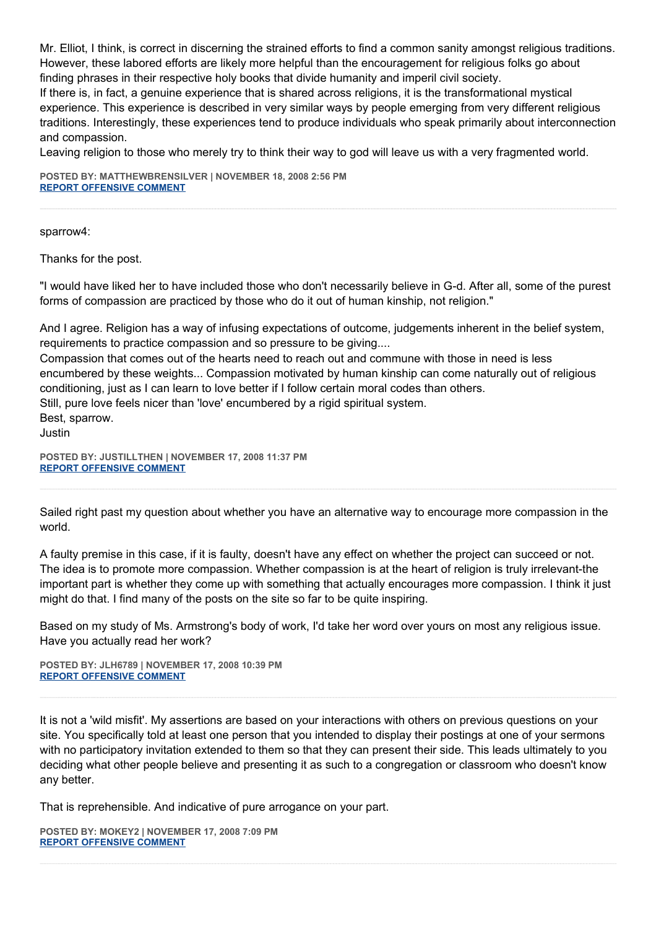Mr. Elliot, I think, is correct in discerning the strained efforts to find a common sanity amongst religious traditions. However, these labored efforts are likely more helpful than the encouragement for religious folks go about finding phrases in their respective holy books that divide humanity and imperil civil society.

If there is, in fact, a genuine experience that is shared across religions, it is the transformational mystical experience. This experience is described in very similar ways by people emerging from very different religious traditions. Interestingly, these experiences tend to produce individuals who speak primarily about interconnection and compassion.

Leaving religion to those who merely try to think their way to god will leave us with a very fragmented world.

**POSTED BY: MATTHEWBRENSILVER | NOVEMBER 18, 2008 2:56 PM [REPORT OFFENSIVE COMMENT](mailto:blogs@washingtonpost.com?subject=On%20Faith%20Panelists%20Blog%20%20%7C%20%20matthewbrensilver%20%20%7C%20%20Compassion%20is%20Not)**

sparrow4:

Thanks for the post.

"I would have liked her to have included those who don't necessarily believe in G-d. After all, some of the purest forms of compassion are practiced by those who do it out of human kinship, not religion."

And I agree. Religion has a way of infusing expectations of outcome, judgements inherent in the belief system, requirements to practice compassion and so pressure to be giving....

Compassion that comes out of the hearts need to reach out and commune with those in need is less encumbered by these weights... Compassion motivated by human kinship can come naturally out of religious conditioning, just as I can learn to love better if I follow certain moral codes than others. Still, pure love feels nicer than 'love' encumbered by a rigid spiritual system. Best, sparrow.

Justin

**POSTED BY: JUSTILLTHEN | NOVEMBER 17, 2008 11:37 PM [REPORT OFFENSIVE COMMENT](mailto:blogs@washingtonpost.com?subject=On%20Faith%20Panelists%20Blog%20%20%7C%20%20justillthen%20%20%7C%20%20Compassion%20is%20Not)**

Sailed right past my question about whether you have an alternative way to encourage more compassion in the world.

A faulty premise in this case, if it is faulty, doesn't have any effect on whether the project can succeed or not. The idea is to promote more compassion. Whether compassion is at the heart of religion is truly irrelevant-the important part is whether they come up with something that actually encourages more compassion. I think it just might do that. I find many of the posts on the site so far to be quite inspiring.

Based on my study of Ms. Armstrong's body of work, I'd take her word over yours on most any religious issue. Have you actually read her work?

**POSTED BY: JLH6789 | NOVEMBER 17, 2008 10:39 PM [REPORT OFFENSIVE COMMENT](mailto:blogs@washingtonpost.com?subject=On%20Faith%20Panelists%20Blog%20%20%7C%20%20jlh6789%20%20%7C%20%20Compassion%20is%20Not)**

It is not a 'wild misfit'. My assertions are based on your interactions with others on previous questions on your site. You specifically told at least one person that you intended to display their postings at one of your sermons with no participatory invitation extended to them so that they can present their side. This leads ultimately to you deciding what other people believe and presenting it as such to a congregation or classroom who doesn't know any better.

That is reprehensible. And indicative of pure arrogance on your part.

**POSTED BY: MOKEY2 | NOVEMBER 17, 2008 7:09 PM [REPORT OFFENSIVE COMMENT](mailto:blogs@washingtonpost.com?subject=On%20Faith%20Panelists%20Blog%20%20%7C%20%20mokey2%20%20%7C%20%20Compassion%20is%20Not)**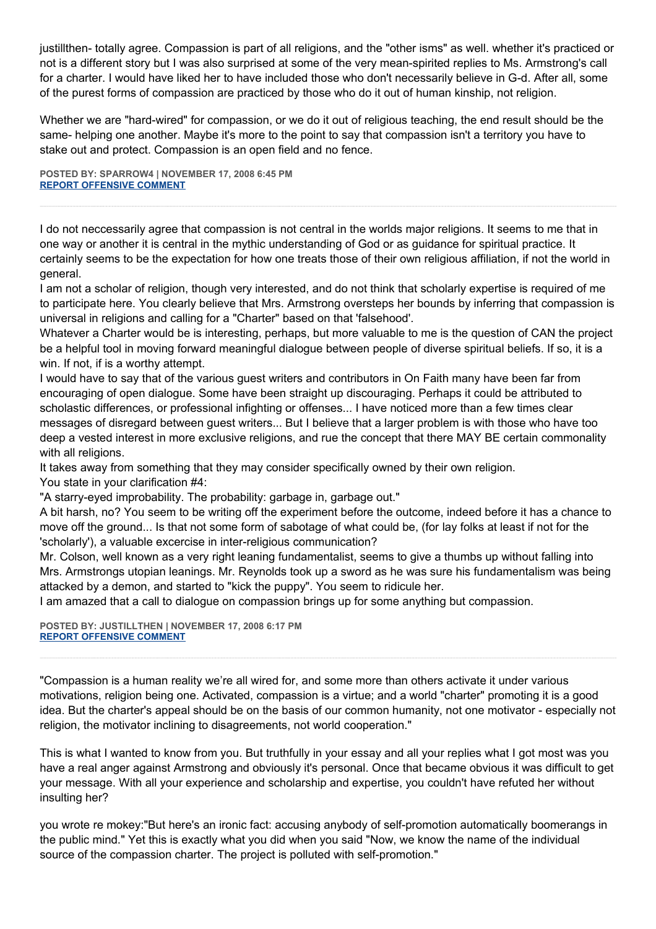justillthen- totally agree. Compassion is part of all religions, and the "other isms" as well. whether it's practiced or not is a different story but I was also surprised at some of the very mean-spirited replies to Ms. Armstrong's call for a charter. I would have liked her to have included those who don't necessarily believe in G-d. After all, some of the purest forms of compassion are practiced by those who do it out of human kinship, not religion.

Whether we are "hard-wired" for compassion, or we do it out of religious teaching, the end result should be the same- helping one another. Maybe it's more to the point to say that compassion isn't a territory you have to stake out and protect. Compassion is an open field and no fence.

**POSTED BY: SPARROW4 | NOVEMBER 17, 2008 6:45 PM [REPORT OFFENSIVE COMMENT](mailto:blogs@washingtonpost.com?subject=On%20Faith%20Panelists%20Blog%20%20%7C%20%20sparrow4%20%20%7C%20%20Compassion%20is%20Not)**

I do not neccessarily agree that compassion is not central in the worlds major religions. It seems to me that in one way or another it is central in the mythic understanding of God or as guidance for spiritual practice. It certainly seems to be the expectation for how one treats those of their own religious affiliation, if not the world in general.

I am not a scholar of religion, though very interested, and do not think that scholarly expertise is required of me to participate here. You clearly believe that Mrs. Armstrong oversteps her bounds by inferring that compassion is universal in religions and calling for a "Charter" based on that 'falsehood'.

Whatever a Charter would be is interesting, perhaps, but more valuable to me is the question of CAN the project be a helpful tool in moving forward meaningful dialogue between people of diverse spiritual beliefs. If so, it is a win. If not, if is a worthy attempt.

I would have to say that of the various guest writers and contributors in On Faith many have been far from encouraging of open dialogue. Some have been straight up discouraging. Perhaps it could be attributed to scholastic differences, or professional infighting or offenses... I have noticed more than a few times clear messages of disregard between guest writers... But I believe that a larger problem is with those who have too deep a vested interest in more exclusive religions, and rue the concept that there MAY BE certain commonality with all religions.

It takes away from something that they may consider specifically owned by their own religion. You state in your clarification #4:

"A starry-eyed improbability. The probability: garbage in, garbage out."

A bit harsh, no? You seem to be writing off the experiment before the outcome, indeed before it has a chance to move off the ground... Is that not some form of sabotage of what could be, (for lay folks at least if not for the 'scholarly'), a valuable excercise in inter-religious communication?

Mr. Colson, well known as a very right leaning fundamentalist, seems to give a thumbs up without falling into Mrs. Armstrongs utopian leanings. Mr. Reynolds took up a sword as he was sure his fundamentalism was being attacked by a demon, and started to "kick the puppy". You seem to ridicule her.

I am amazed that a call to dialogue on compassion brings up for some anything but compassion.

**POSTED BY: JUSTILLTHEN | NOVEMBER 17, 2008 6:17 PM [REPORT OFFENSIVE COMMENT](mailto:blogs@washingtonpost.com?subject=On%20Faith%20Panelists%20Blog%20%20%7C%20%20justillthen%20%20%7C%20%20Compassion%20is%20Not)**

"Compassion is a human reality we're all wired for, and some more than others activate it under various motivations, religion being one. Activated, compassion is a virtue; and a world "charter" promoting it is a good idea. But the charter's appeal should be on the basis of our common humanity, not one motivator - especially not religion, the motivator inclining to disagreements, not world cooperation."

This is what I wanted to know from you. But truthfully in your essay and all your replies what I got most was you have a real anger against Armstrong and obviously it's personal. Once that became obvious it was difficult to get your message. With all your experience and scholarship and expertise, you couldn't have refuted her without insulting her?

you wrote re mokey:"But here's an ironic fact: accusing anybody of self-promotion automatically boomerangs in the public mind." Yet this is exactly what you did when you said "Now, we know the name of the individual source of the compassion charter. The project is polluted with self-promotion."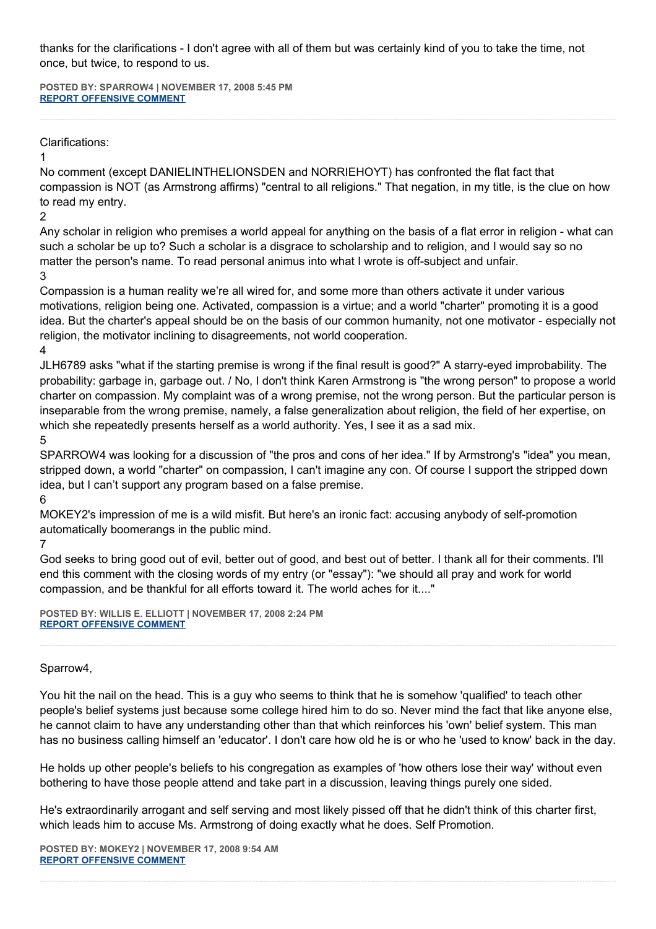thanks for the clarifications - I don't agree with all of them but was certainly kind of you to take the time, not once, but twice, to respond to us.

**POSTED BY: SPARROW4 | NOVEMBER 17, 2008 5:45 PM [REPORT OFFENSIVE COMMENT](mailto:blogs@washingtonpost.com?subject=On%20Faith%20Panelists%20Blog%20%20%7C%20%20sparrow4%20%20%7C%20%20Compassion%20is%20Not)**

# Clarifications:

## 1

No comment (except DANIELINTHELIONSDEN and NORRIEHOYT) has confronted the flat fact that compassion is NOT (as Armstrong affirms) "central to all religions." That negation, in my title, is the clue on how to read my entry.

### 2

Any scholar in religion who premises a world appeal for anything on the basis of a flat error in religion - what can such a scholar be up to? Such a scholar is a disgrace to scholarship and to religion, and I would say so no matter the person's name. To read personal animus into what I wrote is off-subject and unfair.

## 3

Compassion is a human reality we're all wired for, and some more than others activate it under various motivations, religion being one. Activated, compassion is a virtue; and a world "charter" promoting it is a good idea. But the charter's appeal should be on the basis of our common humanity, not one motivator - especially not religion, the motivator inclining to disagreements, not world cooperation.

4

JLH6789 asks "what if the starting premise is wrong if the final result is good?" A starry-eyed improbability. The probability: garbage in, garbage out. / No, I don't think Karen Armstrong is "the wrong person" to propose a world charter on compassion. My complaint was of a wrong premise, not the wrong person. But the particular person is inseparable from the wrong premise, namely, a false generalization about religion, the field of her expertise, on which she repeatedly presents herself as a world authority. Yes, I see it as a sad mix.

## 5

SPARROW4 was looking for a discussion of "the pros and cons of her idea." If by Armstrong's "idea" you mean, stripped down, a world "charter" on compassion, I can't imagine any con. Of course I support the stripped down idea, but I can't support any program based on a false premise.

6

MOKEY2's impression of me is a wild misfit. But here's an ironic fact: accusing anybody of self-promotion automatically boomerangs in the public mind.

# 7

God seeks to bring good out of evil, better out of good, and best out of better. I thank all for their comments. I'll end this comment with the closing words of my entry (or "essay"): "we should all pray and work for world compassion, and be thankful for all efforts toward it. The world aches for it...."

**POSTED BY: WILLIS E. ELLIOTT | NOVEMBER 17, 2008 2:24 PM [REPORT OFFENSIVE COMMENT](mailto:blogs@washingtonpost.com?subject=On%20Faith%20Panelists%20Blog%20%20%7C%20%20Willis%20E.%20Elliott%20%20%7C%20%20Compassion%20is%20Not)**

# Sparrow4,

You hit the nail on the head. This is a guy who seems to think that he is somehow 'qualified' to teach other people's belief systems just because some college hired him to do so. Never mind the fact that like anyone else, he cannot claim to have any understanding other than that which reinforces his 'own' belief system. This man has no business calling himself an 'educator'. I don't care how old he is or who he 'used to know' back in the day.

He holds up other people's beliefs to his congregation as examples of 'how others lose their way' without even bothering to have those people attend and take part in a discussion, leaving things purely one sided.

He's extraordinarily arrogant and self serving and most likely pissed off that he didn't think of this charter first, which leads him to accuse Ms. Armstrong of doing exactly what he does. Self Promotion.

**POSTED BY: MOKEY2 | NOVEMBER 17, 2008 9:54 AM [REPORT OFFENSIVE COMMENT](mailto:blogs@washingtonpost.com?subject=On%20Faith%20Panelists%20Blog%20%20%7C%20%20mokey2%20%20%7C%20%20Compassion%20is%20Not)**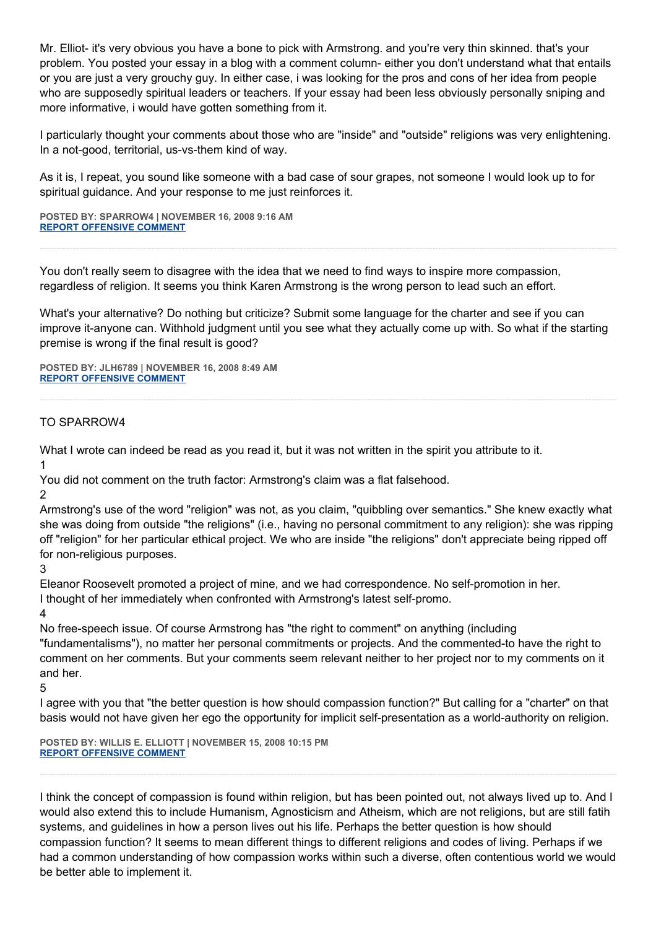Mr. Elliot- it's very obvious you have a bone to pick with Armstrong. and you're very thin skinned. that's your problem. You posted your essay in a blog with a comment column- either you don't understand what that entails or you are just a very grouchy guy. In either case, i was looking for the pros and cons of her idea from people who are supposedly spiritual leaders or teachers. If your essay had been less obviously personally sniping and more informative, i would have gotten something from it.

I particularly thought your comments about those who are "inside" and "outside" religions was very enlightening. In a not-good, territorial, us-vs-them kind of way.

As it is, I repeat, you sound like someone with a bad case of sour grapes, not someone I would look up to for spiritual guidance. And your response to me just reinforces it.

**POSTED BY: SPARROW4 | NOVEMBER 16, 2008 9:16 AM [REPORT OFFENSIVE COMMENT](mailto:blogs@washingtonpost.com?subject=On%20Faith%20Panelists%20Blog%20%20%7C%20%20sparrow4%20%20%7C%20%20Compassion%20is%20Not)**

You don't really seem to disagree with the idea that we need to find ways to inspire more compassion, regardless of religion. It seems you think Karen Armstrong is the wrong person to lead such an effort.

What's your alternative? Do nothing but criticize? Submit some language for the charter and see if you can improve it-anyone can. Withhold judgment until you see what they actually come up with. So what if the starting premise is wrong if the final result is good?

**POSTED BY: JLH6789 | NOVEMBER 16, 2008 8:49 AM [REPORT OFFENSIVE COMMENT](mailto:blogs@washingtonpost.com?subject=On%20Faith%20Panelists%20Blog%20%20%7C%20%20jlh6789%20%20%7C%20%20Compassion%20is%20Not)**

#### TO SPARROW4

What I wrote can indeed be read as you read it, but it was not written in the spirit you attribute to it. 1

You did not comment on the truth factor: Armstrong's claim was a flat falsehood.

2

Armstrong's use of the word "religion" was not, as you claim, "quibbling over semantics." She knew exactly what she was doing from outside "the religions" (i.e., having no personal commitment to any religion): she was ripping off "religion" for her particular ethical project. We who are inside "the religions" don't appreciate being ripped off for non-religious purposes.

3

Eleanor Roosevelt promoted a project of mine, and we had correspondence. No self-promotion in her. I thought of her immediately when confronted with Armstrong's latest self-promo.

4

No free-speech issue. Of course Armstrong has "the right to comment" on anything (including "fundamentalisms"), no matter her personal commitments or projects. And the commented-to have the right to comment on her comments. But your comments seem relevant neither to her project nor to my comments on it and her.

5

I agree with you that "the better question is how should compassion function?" But calling for a "charter" on that basis would not have given her ego the opportunity for implicit self-presentation as a world-authority on religion.

**POSTED BY: WILLIS E. ELLIOTT | NOVEMBER 15, 2008 10:15 PM [REPORT OFFENSIVE COMMENT](mailto:blogs@washingtonpost.com?subject=On%20Faith%20Panelists%20Blog%20%20%7C%20%20Willis%20E.%20Elliott%20%20%7C%20%20Compassion%20is%20Not)**

I think the concept of compassion is found within religion, but has been pointed out, not always lived up to. And I would also extend this to include Humanism, Agnosticism and Atheism, which are not religions, but are still fatih systems, and guidelines in how a person lives out his life. Perhaps the better question is how should compassion function? It seems to mean different things to different religions and codes of living. Perhaps if we had a common understanding of how compassion works within such a diverse, often contentious world we would be better able to implement it.